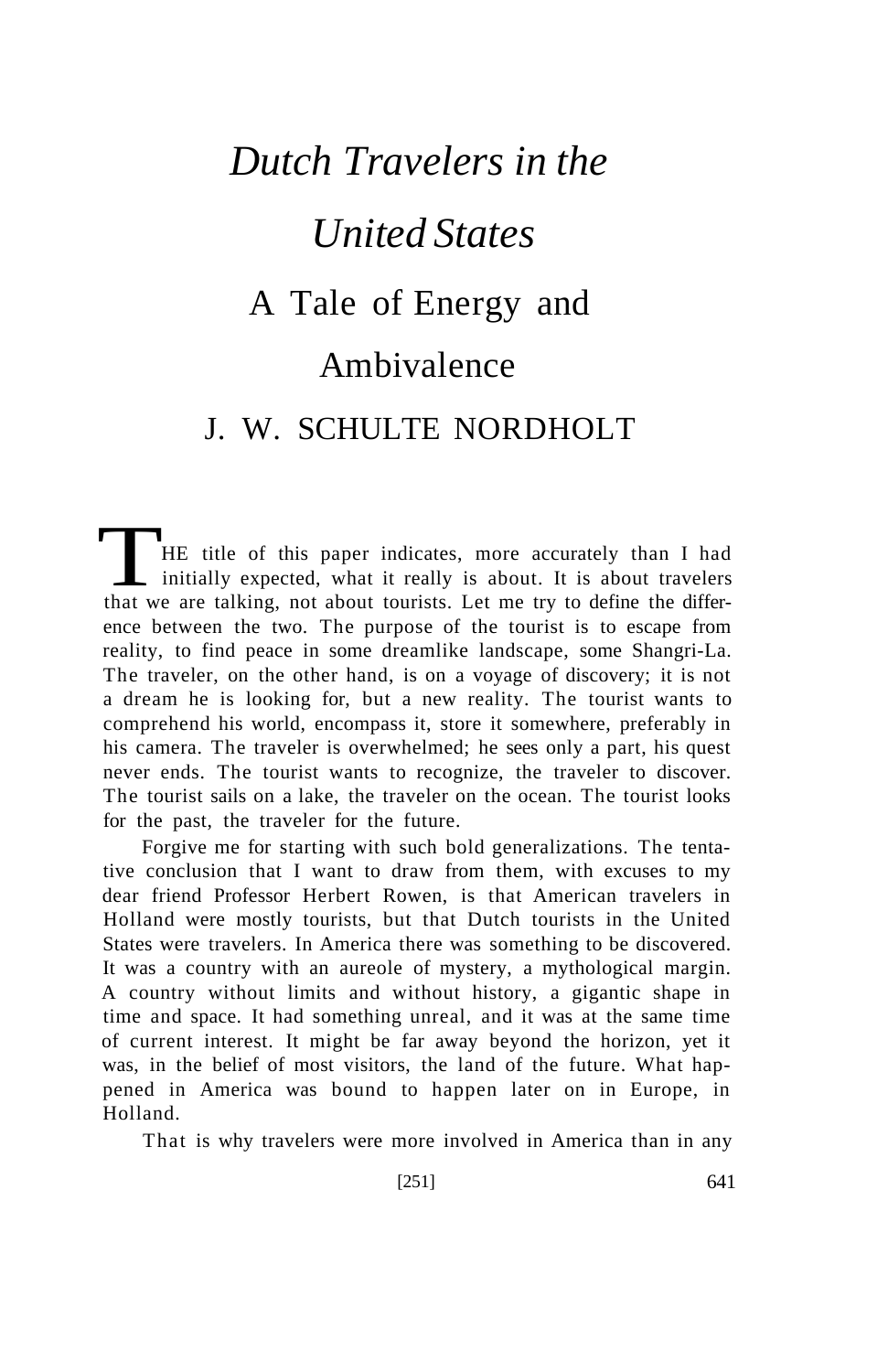## *Dutch Travelers in the United States*  A Tale of Energy and Ambivalence J. W. SCHULTE NORDHOLT

HE title of this paper indicates, more accurately than I had initially expected, what it really is about. It is about travelers that we are talking, not about tourists. Let me try to define the difference between the two. The purpose of the tourist is to escape from reality, to find peace in some dreamlike landscape, some Shangri-La. The traveler, on the other hand, is on a voyage of discovery; it is not a dream he is looking for, but a new reality. The tourist wants to comprehend his world, encompass it, store it somewhere, preferably in his camera. The traveler is overwhelmed; he sees only a part, his quest never ends. The tourist wants to recognize, the traveler to discover. The tourist sails on a lake, the traveler on the ocean. The tourist looks for the past, the traveler for the future.

Forgive me for starting with such bold generalizations. The tentative conclusion that I want to draw from them, with excuses to my dear friend Professor Herbert Rowen, is that American travelers in Holland were mostly tourists, but that Dutch tourists in the United States were travelers. In America there was something to be discovered. It was a country with an aureole of mystery, a mythological margin. A country without limits and without history, a gigantic shape in time and space. It had something unreal, and it was at the same time of current interest. It might be far away beyond the horizon, yet it was, in the belief of most visitors, the land of the future. What happened in America was bound to happen later on in Europe, in Holland.

That is why travelers were more involved in America than in any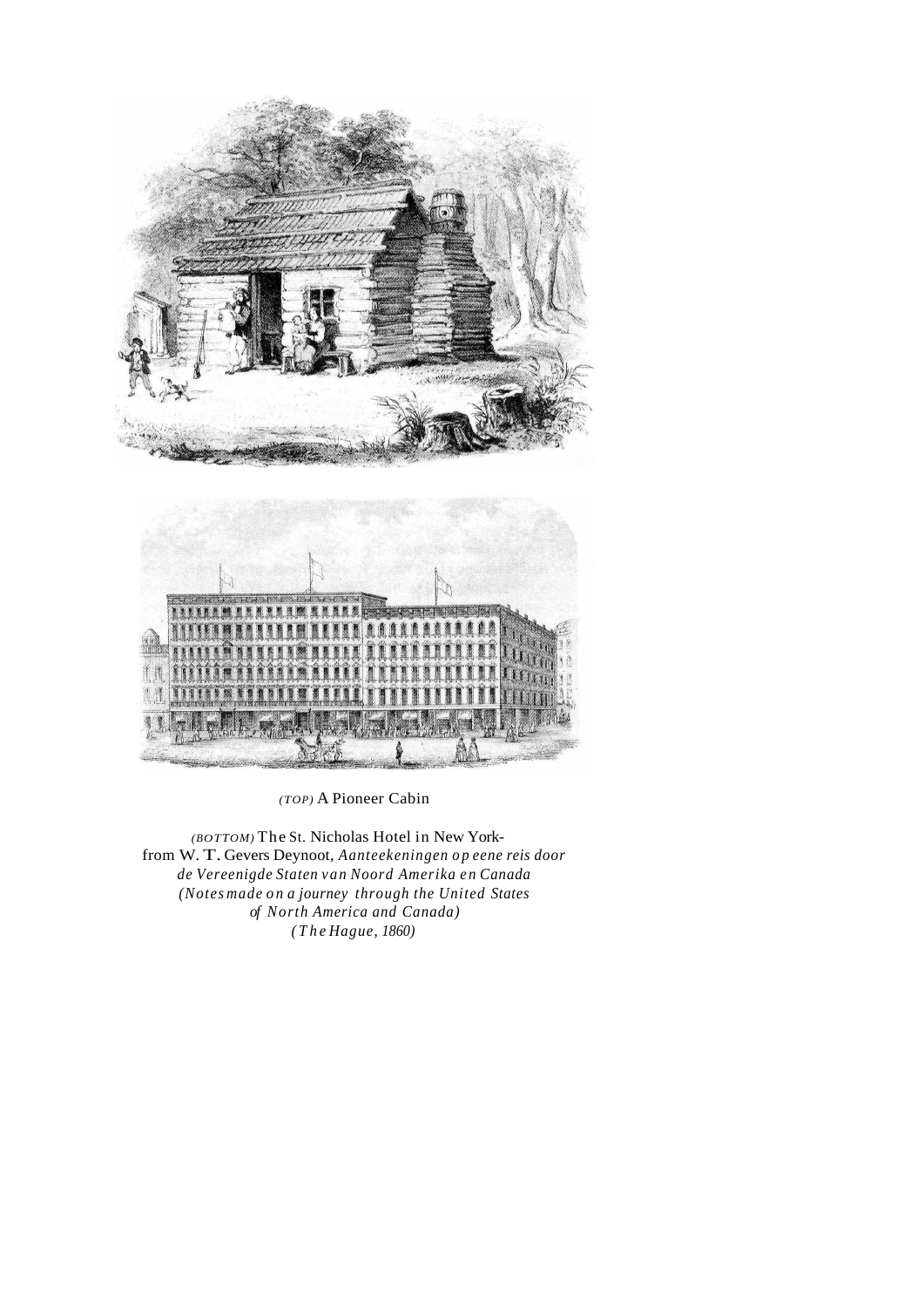

*(TOP)* A Pioneer Cabin

*(BOTTOM)* The St. Nicholas Hotel in New Yorkfrom W. T. Gevers Deynoot, *Aanteekeningen op eene reis door de Vereenigde Staten van Noord Amerika en Canada (Notes made on a journey through the United States of North America and Canada) (The Hague, 1860)*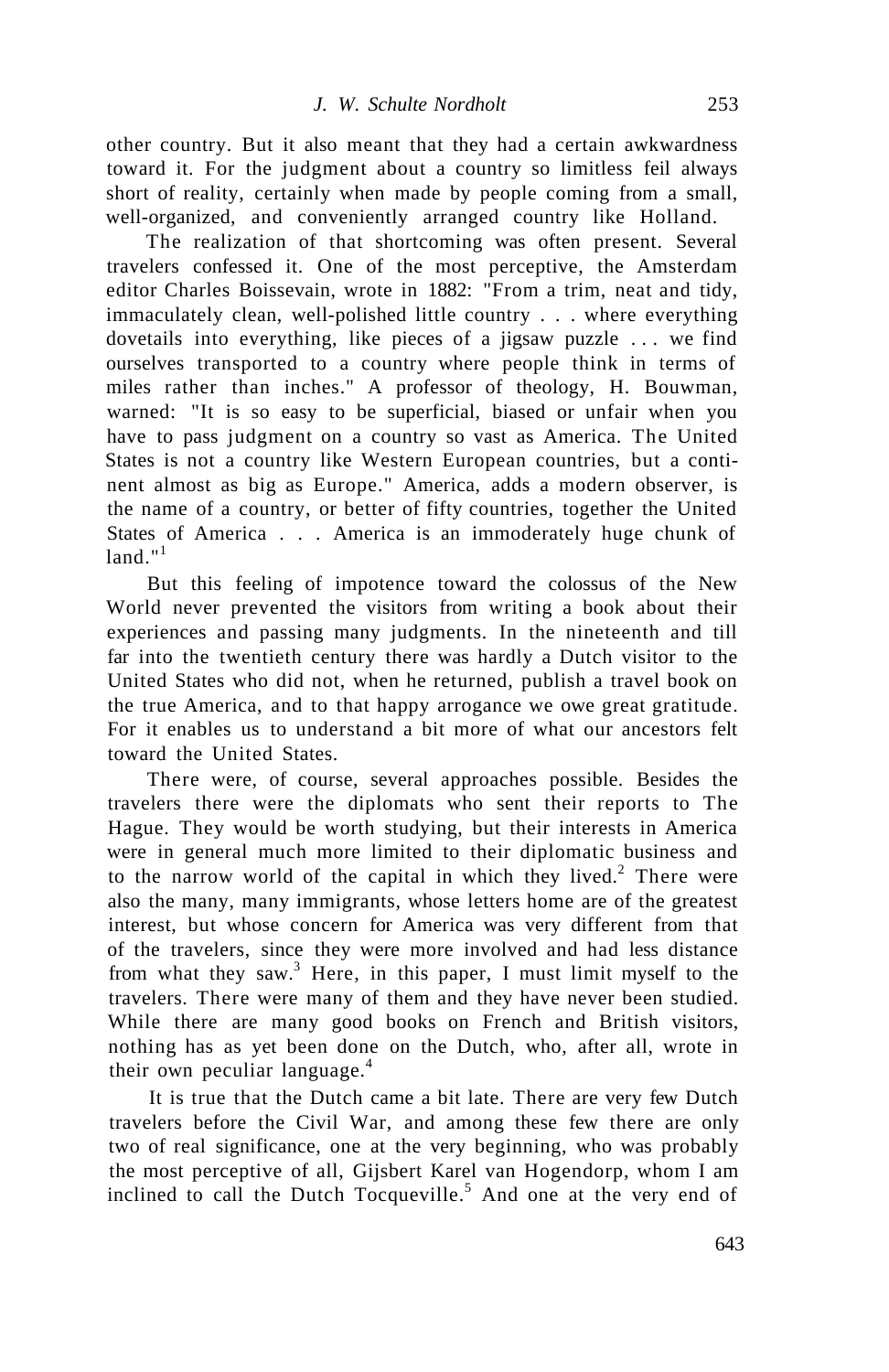other country. But it also meant that they had a certain awkwardness toward it. For the judgment about a country so limitless feil always short of reality, certainly when made by people coming from a small, well-organized, and conveniently arranged country like Holland.

The realization of that shortcoming was often present. Several travelers confessed it. One of the most perceptive, the Amsterdam editor Charles Boissevain, wrote in 1882: "From a trim, neat and tidy, immaculately clean, well-polished little country . . . where everything dovetails into everything, like pieces of a jigsaw puzzle ... we find ourselves transported to a country where people think in terms of miles rather than inches." A professor of theology, H. Bouwman, warned: "It is so easy to be superficial, biased or unfair when you have to pass judgment on a country so vast as America. The United States is not a country like Western European countries, but a continent almost as big as Europe." America, adds a modern observer, is the name of a country, or better of fifty countries, together the United States of America . . . America is an immoderately huge chunk of  $land "1$ 

But this feeling of impotence toward the colossus of the New World never prevented the visitors from writing a book about their experiences and passing many judgments. In the nineteenth and till far into the twentieth century there was hardly a Dutch visitor to the United States who did not, when he returned, publish a travel book on the true America, and to that happy arrogance we owe great gratitude. For it enables us to understand a bit more of what our ancestors felt toward the United States.

There were, of course, several approaches possible. Besides the travelers there were the diplomats who sent their reports to The Hague. They would be worth studying, but their interests in America were in general much more limited to their diplomatic business and to the narrow world of the capital in which they lived.<sup>2</sup> There were also the many, many immigrants, whose letters home are of the greatest interest, but whose concern for America was very different from that of the travelers, since they were more involved and had less distance from what they saw.<sup>3</sup> Here, in this paper, I must limit myself to the travelers. There were many of them and they have never been studied. While there are many good books on French and British visitors, nothing has as yet been done on the Dutch, who, after all, wrote in their own peculiar language. $4$ 

It is true that the Dutch came a bit late. There are very few Dutch travelers before the Civil War, and among these few there are only two of real significance, one at the very beginning, who was probably the most perceptive of all, Gijsbert Karel van Hogendorp, whom I am inclined to call the Dutch Tocqueville.<sup>5</sup> And one at the very end of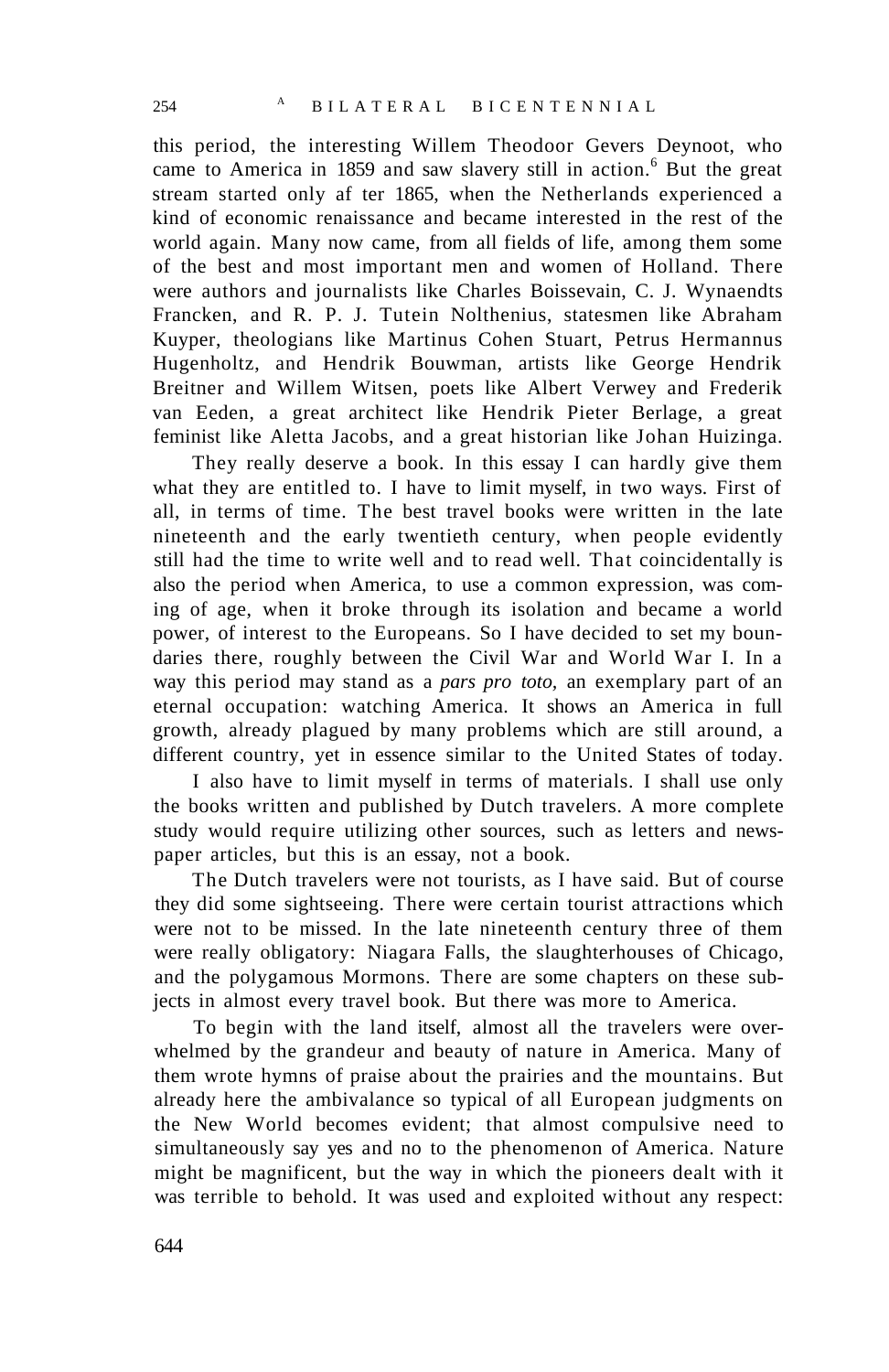this period, the interesting Willem Theodoor Gevers Deynoot, who came to America in 1859 and saw slavery still in action.<sup>6</sup> But the great stream started only af ter 1865, when the Netherlands experienced a kind of economic renaissance and became interested in the rest of the world again. Many now came, from all fields of life, among them some of the best and most important men and women of Holland. There were authors and journalists like Charles Boissevain, C. J. Wynaendts Francken, and R. P. J. Tutein Nolthenius, statesmen like Abraham Kuyper, theologians like Martinus Cohen Stuart, Petrus Hermannus Hugenholtz, and Hendrik Bouwman, artists like George Hendrik Breitner and Willem Witsen, poets like Albert Verwey and Frederik van Eeden, a great architect like Hendrik Pieter Berlage, a great feminist like Aletta Jacobs, and a great historian like Johan Huizinga.

They really deserve a book. In this essay I can hardly give them what they are entitled to. I have to limit myself, in two ways. First of all, in terms of time. The best travel books were written in the late nineteenth and the early twentieth century, when people evidently still had the time to write well and to read well. That coincidentally is also the period when America, to use a common expression, was coming of age, when it broke through its isolation and became a world power, of interest to the Europeans. So I have decided to set my boundaries there, roughly between the Civil War and World War I. In a way this period may stand as a *pars pro toto,* an exemplary part of an eternal occupation: watching America. It shows an America in full growth, already plagued by many problems which are still around, a different country, yet in essence similar to the United States of today.

I also have to limit myself in terms of materials. I shall use only the books written and published by Dutch travelers. A more complete study would require utilizing other sources, such as letters and newspaper articles, but this is an essay, not a book.

The Dutch travelers were not tourists, as I have said. But of course they did some sightseeing. There were certain tourist attractions which were not to be missed. In the late nineteenth century three of them were really obligatory: Niagara Falls, the slaughterhouses of Chicago, and the polygamous Mormons. There are some chapters on these subjects in almost every travel book. But there was more to America.

To begin with the land itself, almost all the travelers were overwhelmed by the grandeur and beauty of nature in America. Many of them wrote hymns of praise about the prairies and the mountains. But already here the ambivalance so typical of all European judgments on the New World becomes evident; that almost compulsive need to simultaneously say yes and no to the phenomenon of America. Nature might be magnificent, but the way in which the pioneers dealt with it was terrible to behold. It was used and exploited without any respect: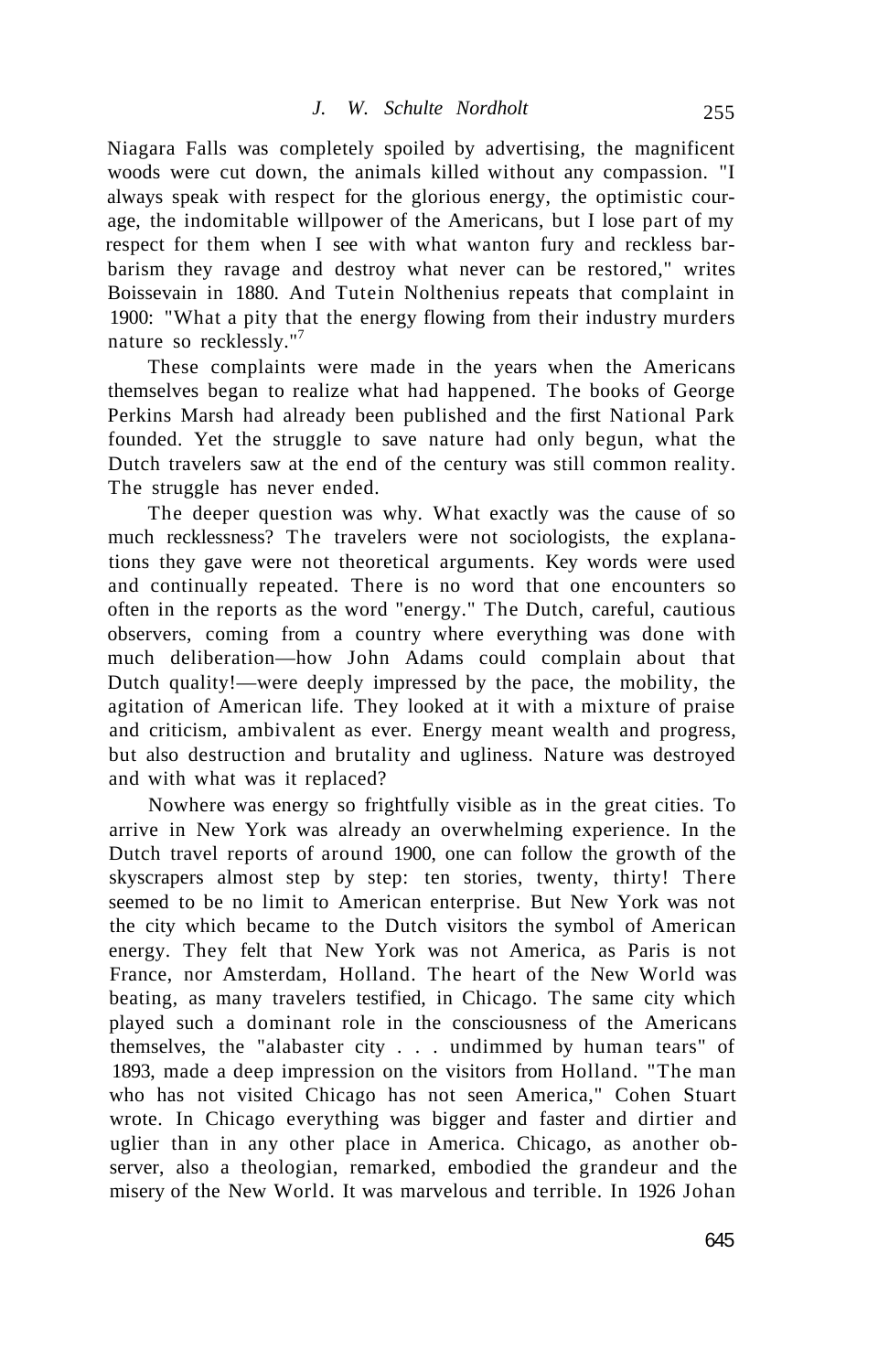Niagara Falls was completely spoiled by advertising, the magnificent woods were cut down, the animals killed without any compassion. "I always speak with respect for the glorious energy, the optimistic courage, the indomitable willpower of the Americans, but I lose part of my respect for them when I see with what wanton fury and reckless barbarism they ravage and destroy what never can be restored," writes Boissevain in 1880. And Tutein Nolthenius repeats that complaint in 1900: "What a pity that the energy flowing from their industry murders nature so recklessly."<sup>7</sup>

These complaints were made in the years when the Americans themselves began to realize what had happened. The books of George Perkins Marsh had already been published and the first National Park founded. Yet the struggle to save nature had only begun, what the Dutch travelers saw at the end of the century was still common reality. The struggle has never ended.

The deeper question was why. What exactly was the cause of so much recklessness? The travelers were not sociologists, the explanations they gave were not theoretical arguments. Key words were used and continually repeated. There is no word that one encounters so often in the reports as the word "energy." The Dutch, careful, cautious observers, coming from a country where everything was done with much deliberation—how John Adams could complain about that Dutch quality!—were deeply impressed by the pace, the mobility, the agitation of American life. They looked at it with a mixture of praise and criticism, ambivalent as ever. Energy meant wealth and progress, but also destruction and brutality and ugliness. Nature was destroyed and with what was it replaced?

Nowhere was energy so frightfully visible as in the great cities. To arrive in New York was already an overwhelming experience. In the Dutch travel reports of around 1900, one can follow the growth of the skyscrapers almost step by step: ten stories, twenty, thirty! There seemed to be no limit to American enterprise. But New York was not the city which became to the Dutch visitors the symbol of American energy. They felt that New York was not America, as Paris is not France, nor Amsterdam, Holland. The heart of the New World was beating, as many travelers testified, in Chicago. The same city which played such a dominant role in the consciousness of the Americans themselves, the "alabaster city . . . undimmed by human tears" of 1893, made a deep impression on the visitors from Holland. "The man who has not visited Chicago has not seen America," Cohen Stuart wrote. In Chicago everything was bigger and faster and dirtier and uglier than in any other place in America. Chicago, as another observer, also a theologian, remarked, embodied the grandeur and the misery of the New World. It was marvelous and terrible. In 1926 Johan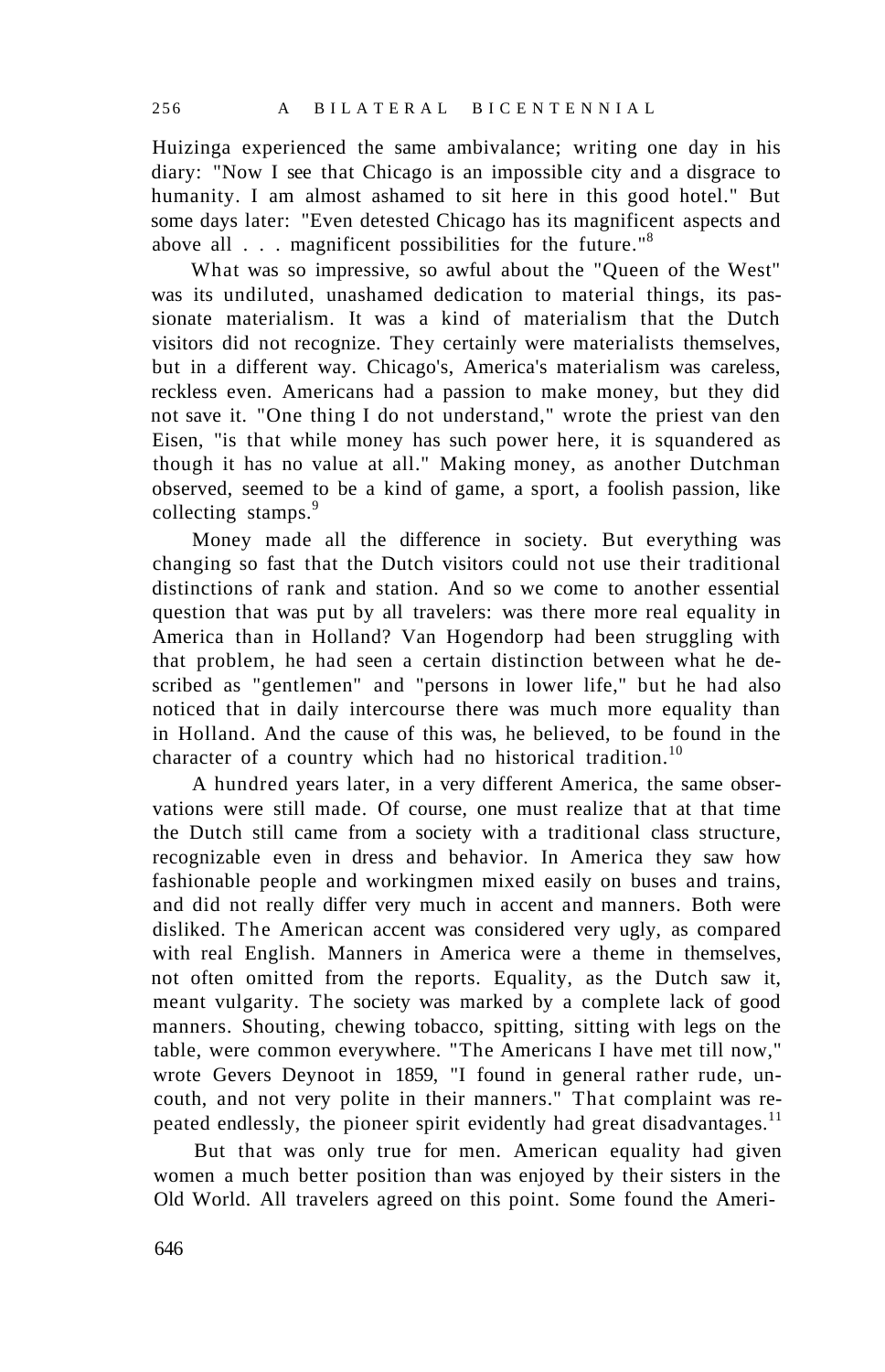Huizinga experienced the same ambivalance; writing one day in his diary: "Now I see that Chicago is an impossible city and a disgrace to humanity. I am almost ashamed to sit here in this good hotel." But some days later: "Even detested Chicago has its magnificent aspects and above all . . . magnificent possibilities for the future."<sup>8</sup>

What was so impressive, so awful about the "Queen of the West" was its undiluted, unashamed dedication to material things, its passionate materialism. It was a kind of materialism that the Dutch visitors did not recognize. They certainly were materialists themselves, but in a different way. Chicago's, America's materialism was careless, reckless even. Americans had a passion to make money, but they did not save it. "One thing I do not understand," wrote the priest van den Eisen, "is that while money has such power here, it is squandered as though it has no value at all." Making money, as another Dutchman observed, seemed to be a kind of game, a sport, a foolish passion, like collecting stamps.<sup>9</sup>

Money made all the difference in society. But everything was changing so fast that the Dutch visitors could not use their traditional distinctions of rank and station. And so we come to another essential question that was put by all travelers: was there more real equality in America than in Holland? Van Hogendorp had been struggling with that problem, he had seen a certain distinction between what he described as "gentlemen" and "persons in lower life," but he had also noticed that in daily intercourse there was much more equality than in Holland. And the cause of this was, he believed, to be found in the character of a country which had no historical tradition.<sup>10</sup>

A hundred years later, in a very different America, the same observations were still made. Of course, one must realize that at that time the Dutch still came from a society with a traditional class structure, recognizable even in dress and behavior. In America they saw how fashionable people and workingmen mixed easily on buses and trains, and did not really differ very much in accent and manners. Both were disliked. The American accent was considered very ugly, as compared with real English. Manners in America were a theme in themselves, not often omitted from the reports. Equality, as the Dutch saw it, meant vulgarity. The society was marked by a complete lack of good manners. Shouting, chewing tobacco, spitting, sitting with legs on the table, were common everywhere. "The Americans I have met till now," wrote Gevers Deynoot in 1859, "I found in general rather rude, uncouth, and not very polite in their manners." That complaint was repeated endlessly, the pioneer spirit evidently had great disadvantages.<sup>11</sup>

But that was only true for men. American equality had given women a much better position than was enjoyed by their sisters in the Old World. All travelers agreed on this point. Some found the Ameri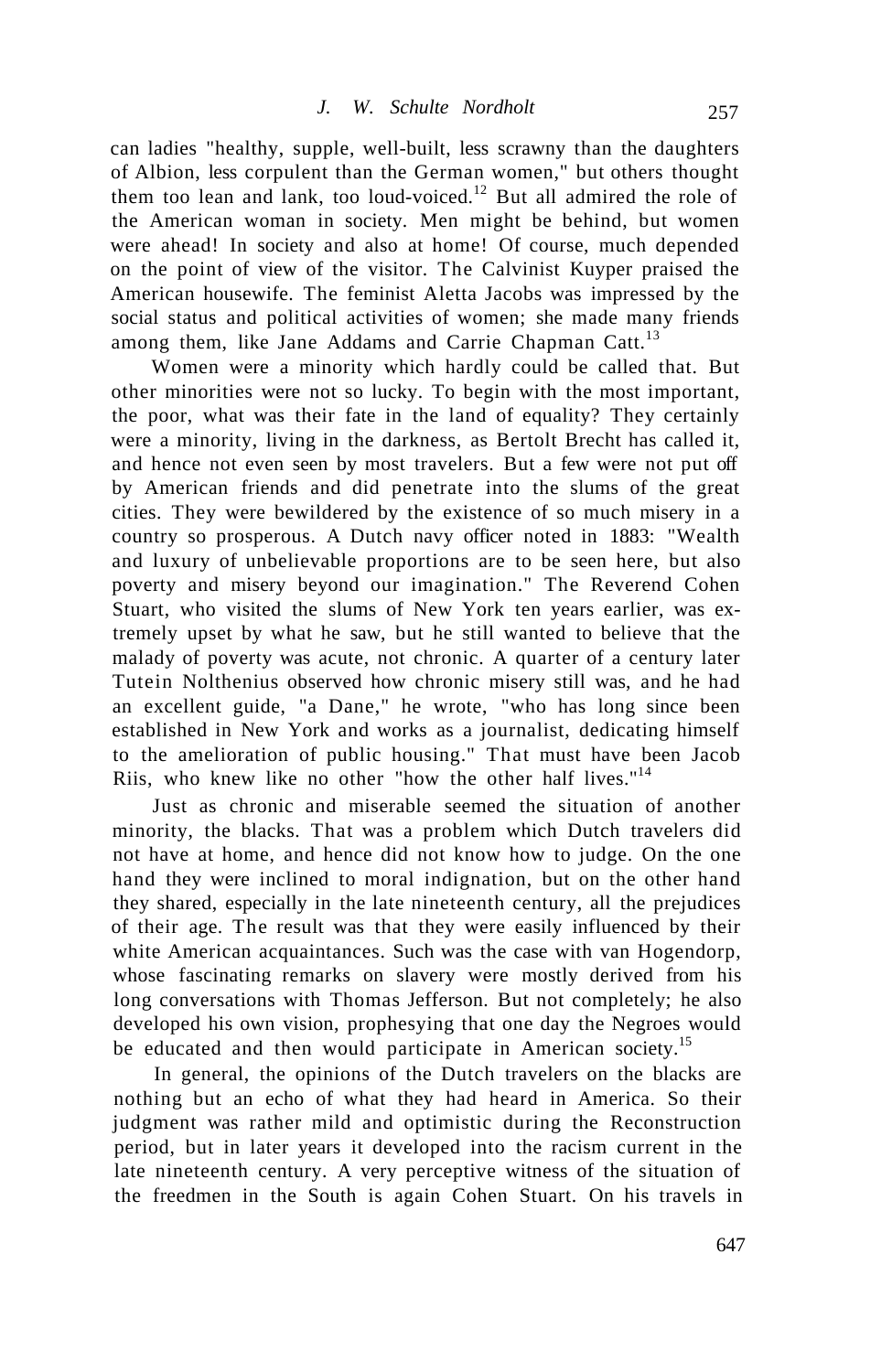can ladies "healthy, supple, well-built, less scrawny than the daughters of Albion, less corpulent than the German women," but others thought them too lean and lank, too loud-voiced.<sup>12</sup> But all admired the role of the American woman in society. Men might be behind, but women were ahead! In society and also at home! Of course, much depended on the point of view of the visitor. The Calvinist Kuyper praised the American housewife. The feminist Aletta Jacobs was impressed by the social status and political activities of women; she made many friends among them, like Jane Addams and Carrie Chapman Catt.<sup>13</sup>

Women were a minority which hardly could be called that. But other minorities were not so lucky. To begin with the most important, the poor, what was their fate in the land of equality? They certainly were a minority, living in the darkness, as Bertolt Brecht has called it, and hence not even seen by most travelers. But a few were not put off by American friends and did penetrate into the slums of the great cities. They were bewildered by the existence of so much misery in a country so prosperous. A Dutch navy officer noted in 1883: "Wealth and luxury of unbelievable proportions are to be seen here, but also poverty and misery beyond our imagination." The Reverend Cohen Stuart, who visited the slums of New York ten years earlier, was extremely upset by what he saw, but he still wanted to believe that the malady of poverty was acute, not chronic. A quarter of a century later Tutein Nolthenius observed how chronic misery still was, and he had an excellent guide, "a Dane," he wrote, "who has long since been established in New York and works as a journalist, dedicating himself to the amelioration of public housing." That must have been Jacob Riis, who knew like no other "how the other half lives."<sup>14</sup>

Just as chronic and miserable seemed the situation of another minority, the blacks. That was a problem which Dutch travelers did not have at home, and hence did not know how to judge. On the one hand they were inclined to moral indignation, but on the other hand they shared, especially in the late nineteenth century, all the prejudices of their age. The result was that they were easily influenced by their white American acquaintances. Such was the case with van Hogendorp, whose fascinating remarks on slavery were mostly derived from his long conversations with Thomas Jefferson. But not completely; he also developed his own vision, prophesying that one day the Negroes would be educated and then would participate in American society.<sup>15</sup>

In general, the opinions of the Dutch travelers on the blacks are nothing but an echo of what they had heard in America. So their judgment was rather mild and optimistic during the Reconstruction period, but in later years it developed into the racism current in the late nineteenth century. A very perceptive witness of the situation of the freedmen in the South is again Cohen Stuart. On his travels in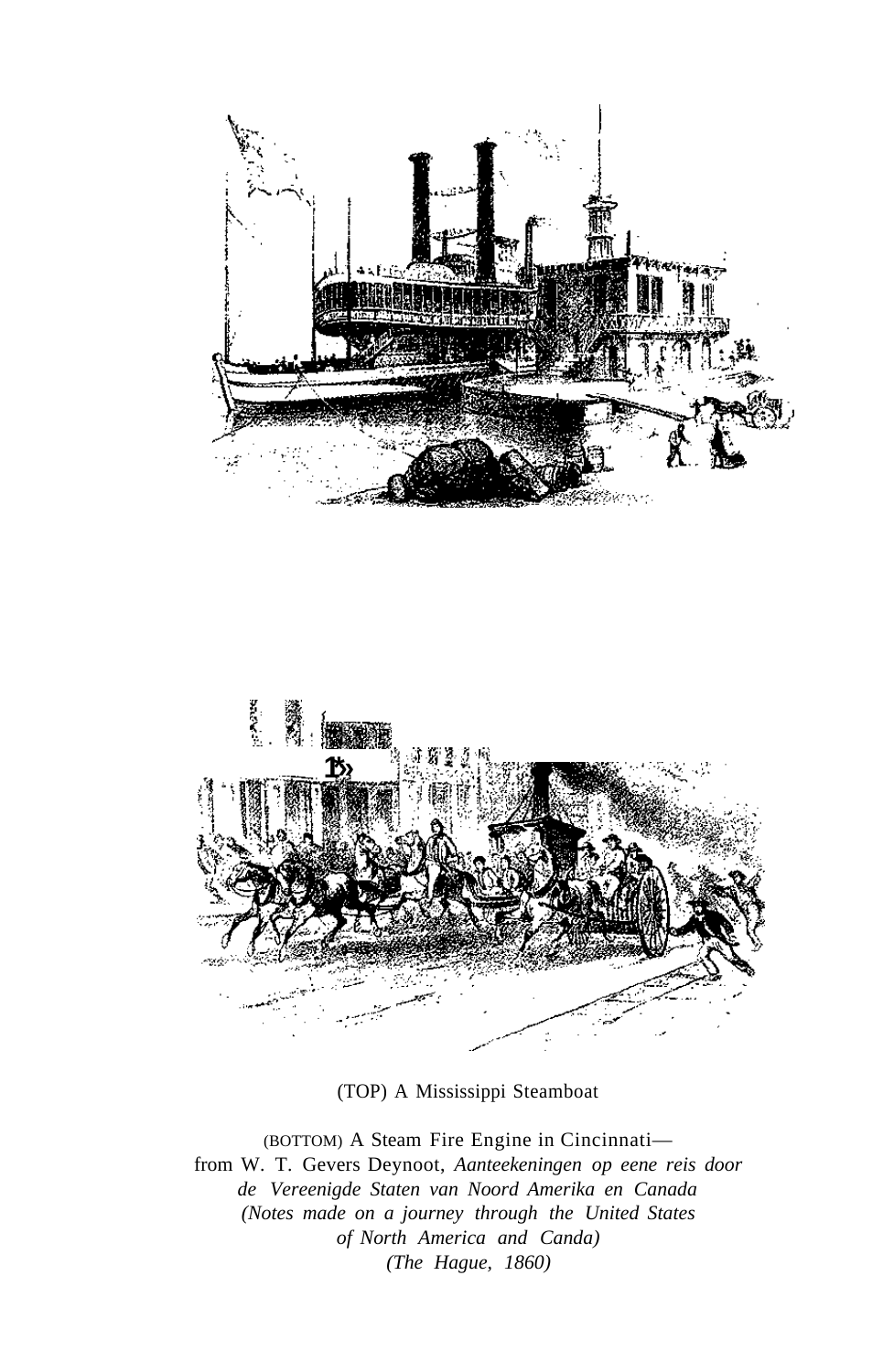



(TOP) A Mississippi Steamboat

(BOTTOM) A Steam Fire Engine in Cincinnati from W. T. Gevers Deynoot, *Aanteekeningen op eene reis door de Vereenigde Staten van Noord Amerika en Canada (Notes made on a journey through the United States of North America and Canda) (The Hague, 1860)*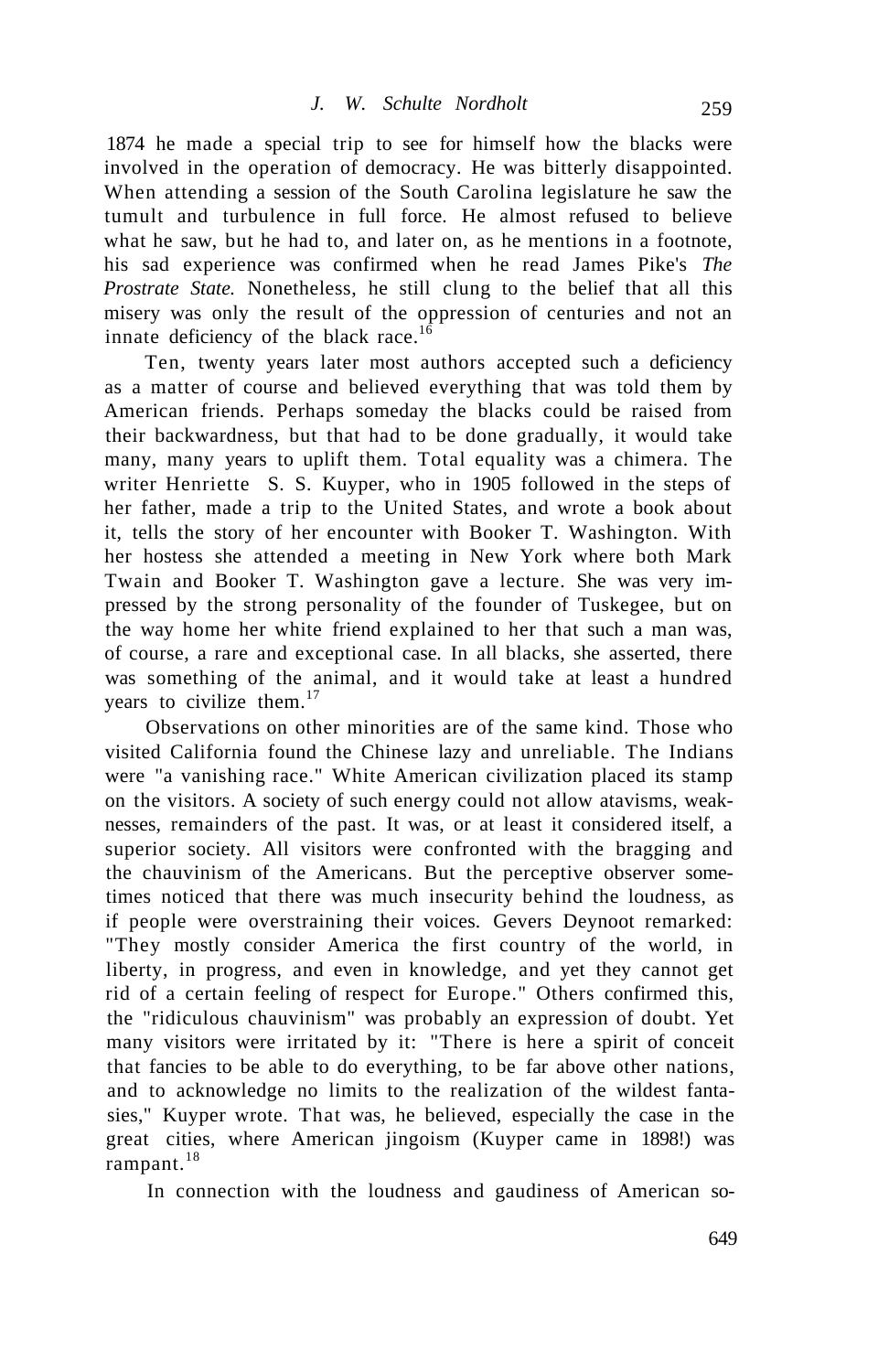1874 he made a special trip to see for himself how the blacks were involved in the operation of democracy. He was bitterly disappointed. When attending a session of the South Carolina legislature he saw the tumult and turbulence in full force. He almost refused to believe what he saw, but he had to, and later on, as he mentions in a footnote, his sad experience was confirmed when he read James Pike's *The Prostrate State.* Nonetheless, he still clung to the belief that all this misery was only the result of the oppression of centuries and not an innate deficiency of the black race. $16$ 

Ten, twenty years later most authors accepted such a deficiency as a matter of course and believed everything that was told them by American friends. Perhaps someday the blacks could be raised from their backwardness, but that had to be done gradually, it would take many, many years to uplift them. Total equality was a chimera. The writer Henriette S. S. Kuyper, who in 1905 followed in the steps of her father, made a trip to the United States, and wrote a book about it, tells the story of her encounter with Booker T. Washington. With her hostess she attended a meeting in New York where both Mark Twain and Booker T. Washington gave a lecture. She was very impressed by the strong personality of the founder of Tuskegee, but on the way home her white friend explained to her that such a man was, of course, a rare and exceptional case. In all blacks, she asserted, there was something of the animal, and it would take at least a hundred years to civilize them. $17$ 

Observations on other minorities are of the same kind. Those who visited California found the Chinese lazy and unreliable. The Indians were "a vanishing race." White American civilization placed its stamp on the visitors. A society of such energy could not allow atavisms, weaknesses, remainders of the past. It was, or at least it considered itself, a superior society. All visitors were confronted with the bragging and the chauvinism of the Americans. But the perceptive observer sometimes noticed that there was much insecurity behind the loudness, as if people were overstraining their voices. Gevers Deynoot remarked: "They mostly consider America the first country of the world, in liberty, in progress, and even in knowledge, and yet they cannot get rid of a certain feeling of respect for Europe." Others confirmed this, the "ridiculous chauvinism" was probably an expression of doubt. Yet many visitors were irritated by it: "There is here a spirit of conceit that fancies to be able to do everything, to be far above other nations, and to acknowledge no limits to the realization of the wildest fantasies," Kuyper wrote. That was, he believed, especially the case in the great cities, where American jingoism (Kuyper came in 1898!) was rampant. $18$ 

In connection with the loudness and gaudiness of American so-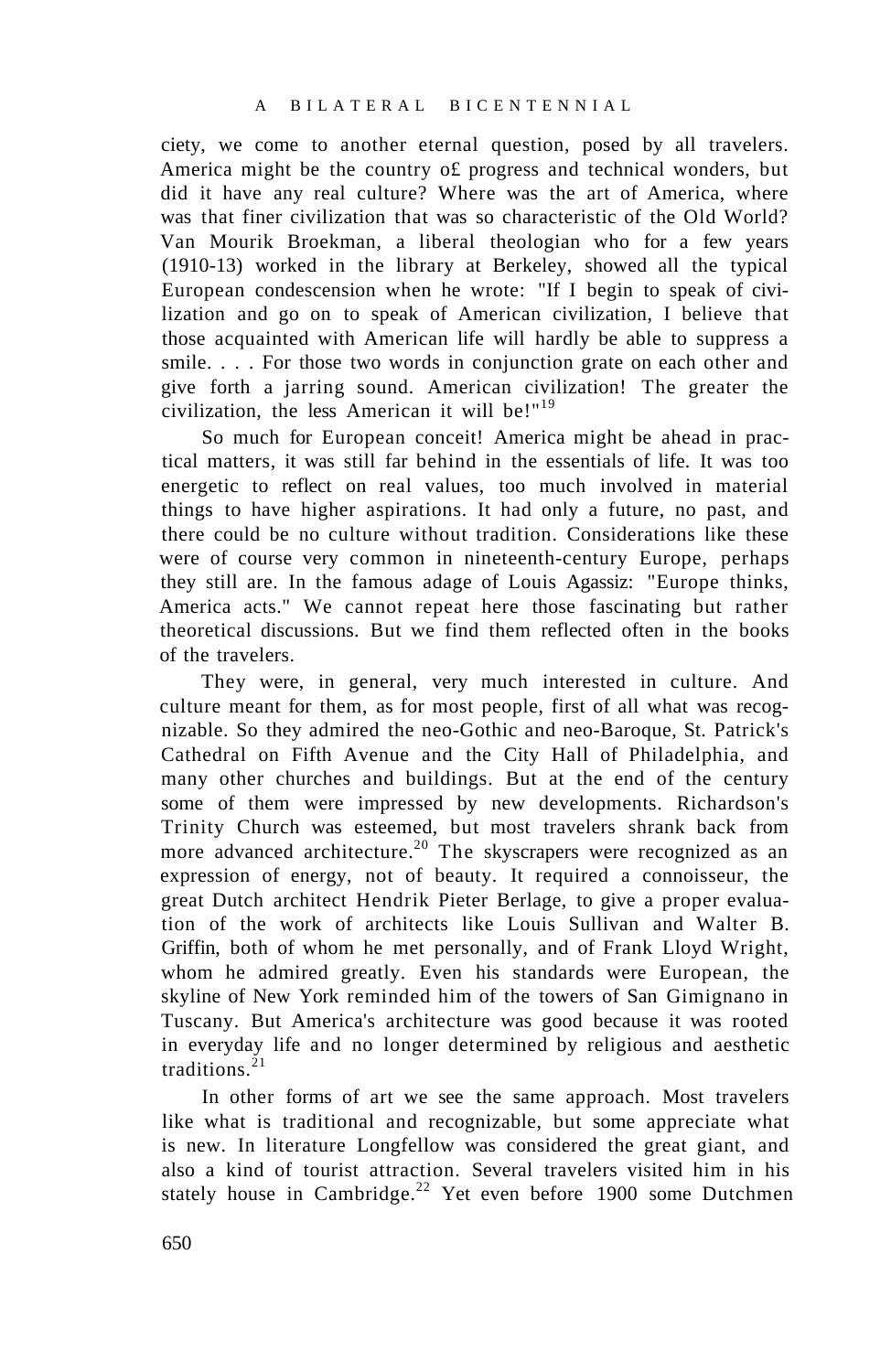ciety, we come to another eternal question, posed by all travelers. America might be the country o£ progress and technical wonders, but did it have any real culture? Where was the art of America, where was that finer civilization that was so characteristic of the Old World? Van Mourik Broekman, a liberal theologian who for a few years (1910-13) worked in the library at Berkeley, showed all the typical European condescension when he wrote: "If I begin to speak of civilization and go on to speak of American civilization, I believe that those acquainted with American life will hardly be able to suppress a smile. . . . For those two words in conjunction grate on each other and give forth a jarring sound. American civilization! The greater the civilization, the less American it will be!" $19$ 

So much for European conceit! America might be ahead in practical matters, it was still far behind in the essentials of life. It was too energetic to reflect on real values, too much involved in material things to have higher aspirations. It had only a future, no past, and there could be no culture without tradition. Considerations like these were of course very common in nineteenth-century Europe, perhaps they still are. In the famous adage of Louis Agassiz: "Europe thinks, America acts." We cannot repeat here those fascinating but rather theoretical discussions. But we find them reflected often in the books of the travelers.

They were, in general, very much interested in culture. And culture meant for them, as for most people, first of all what was recognizable. So they admired the neo-Gothic and neo-Baroque, St. Patrick's Cathedral on Fifth Avenue and the City Hall of Philadelphia, and many other churches and buildings. But at the end of the century some of them were impressed by new developments. Richardson's Trinity Church was esteemed, but most travelers shrank back from more advanced architecture.<sup>20</sup> The skyscrapers were recognized as an expression of energy, not of beauty. It required a connoisseur, the great Dutch architect Hendrik Pieter Berlage, to give a proper evaluation of the work of architects like Louis Sullivan and Walter B. Griffin, both of whom he met personally, and of Frank Lloyd Wright, whom he admired greatly. Even his standards were European, the skyline of New York reminded him of the towers of San Gimignano in Tuscany. But America's architecture was good because it was rooted in everyday life and no longer determined by religious and aesthetic traditions. $21$ 

In other forms of art we see the same approach. Most travelers like what is traditional and recognizable, but some appreciate what is new. In literature Longfellow was considered the great giant, and also a kind of tourist attraction. Several travelers visited him in his stately house in Cambridge.<sup>22</sup> Yet even before 1900 some Dutchmen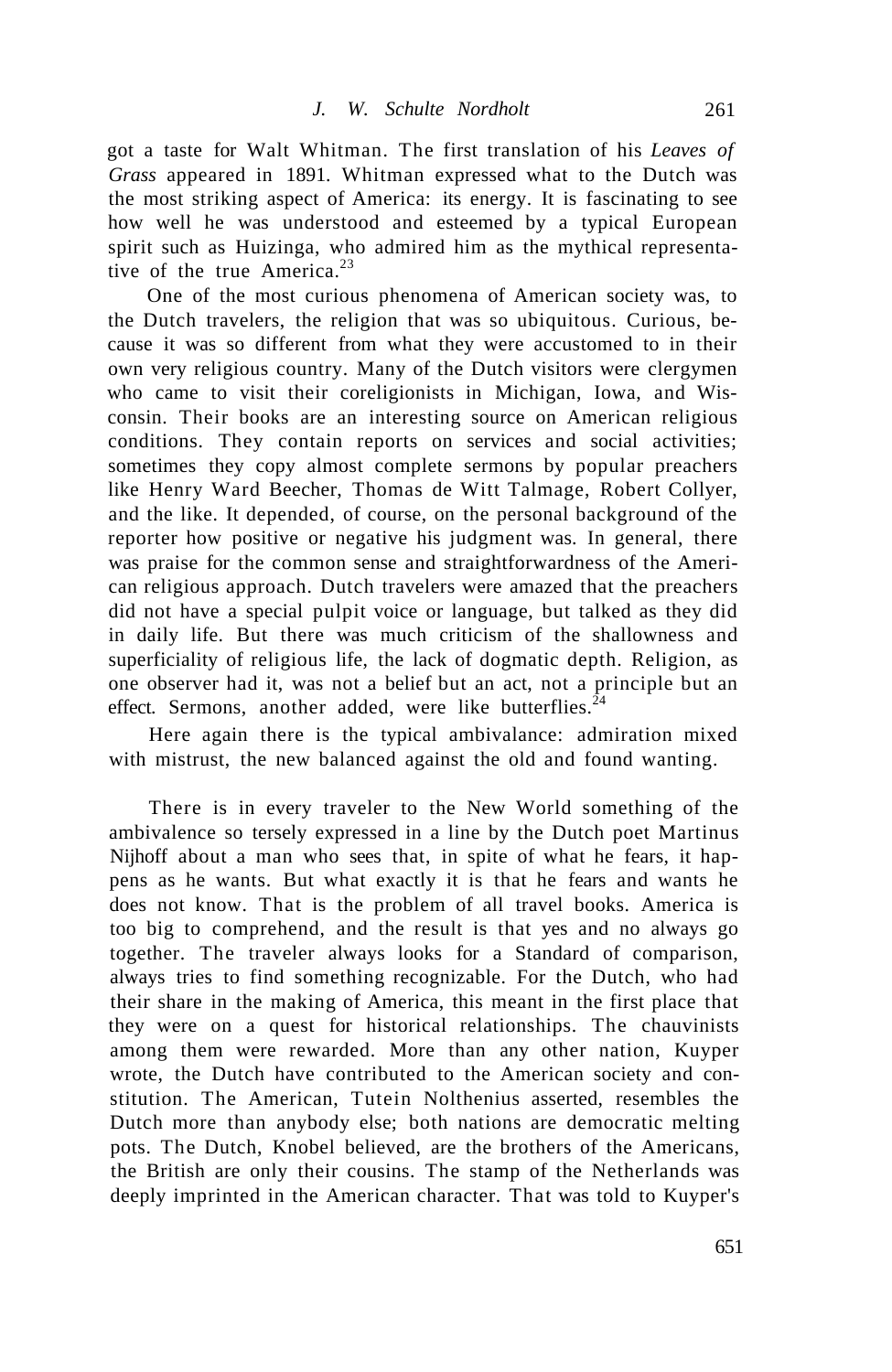got a taste for Walt Whitman. The first translation of his *Leaves of Grass* appeared in 1891. Whitman expressed what to the Dutch was the most striking aspect of America: its energy. It is fascinating to see how well he was understood and esteemed by a typical European spirit such as Huizinga, who admired him as the mythical representative of the true America. $23$ 

One of the most curious phenomena of American society was, to the Dutch travelers, the religion that was so ubiquitous. Curious, because it was so different from what they were accustomed to in their own very religious country. Many of the Dutch visitors were clergymen who came to visit their coreligionists in Michigan, Iowa, and Wisconsin. Their books are an interesting source on American religious conditions. They contain reports on services and social activities; sometimes they copy almost complete sermons by popular preachers like Henry Ward Beecher, Thomas de Witt Talmage, Robert Collyer, and the like. It depended, of course, on the personal background of the reporter how positive or negative his judgment was. In general, there was praise for the common sense and straightforwardness of the American religious approach. Dutch travelers were amazed that the preachers did not have a special pulpit voice or language, but talked as they did in daily life. But there was much criticism of the shallowness and superficiality of religious life, the lack of dogmatic depth. Religion, as one observer had it, was not a belief but an act, not a principle but an effect. Sermons, another added, were like butterflies. $24$ 

Here again there is the typical ambivalance: admiration mixed with mistrust, the new balanced against the old and found wanting.

There is in every traveler to the New World something of the ambivalence so tersely expressed in a line by the Dutch poet Martinus Nijhoff about a man who sees that, in spite of what he fears, it happens as he wants. But what exactly it is that he fears and wants he does not know. That is the problem of all travel books. America is too big to comprehend, and the result is that yes and no always go together. The traveler always looks for a Standard of comparison, always tries to find something recognizable. For the Dutch, who had their share in the making of America, this meant in the first place that they were on a quest for historical relationships. The chauvinists among them were rewarded. More than any other nation, Kuyper wrote, the Dutch have contributed to the American society and constitution. The American, Tutein Nolthenius asserted, resembles the Dutch more than anybody else; both nations are democratic melting pots. The Dutch, Knobel believed, are the brothers of the Americans, the British are only their cousins. The stamp of the Netherlands was deeply imprinted in the American character. That was told to Kuyper's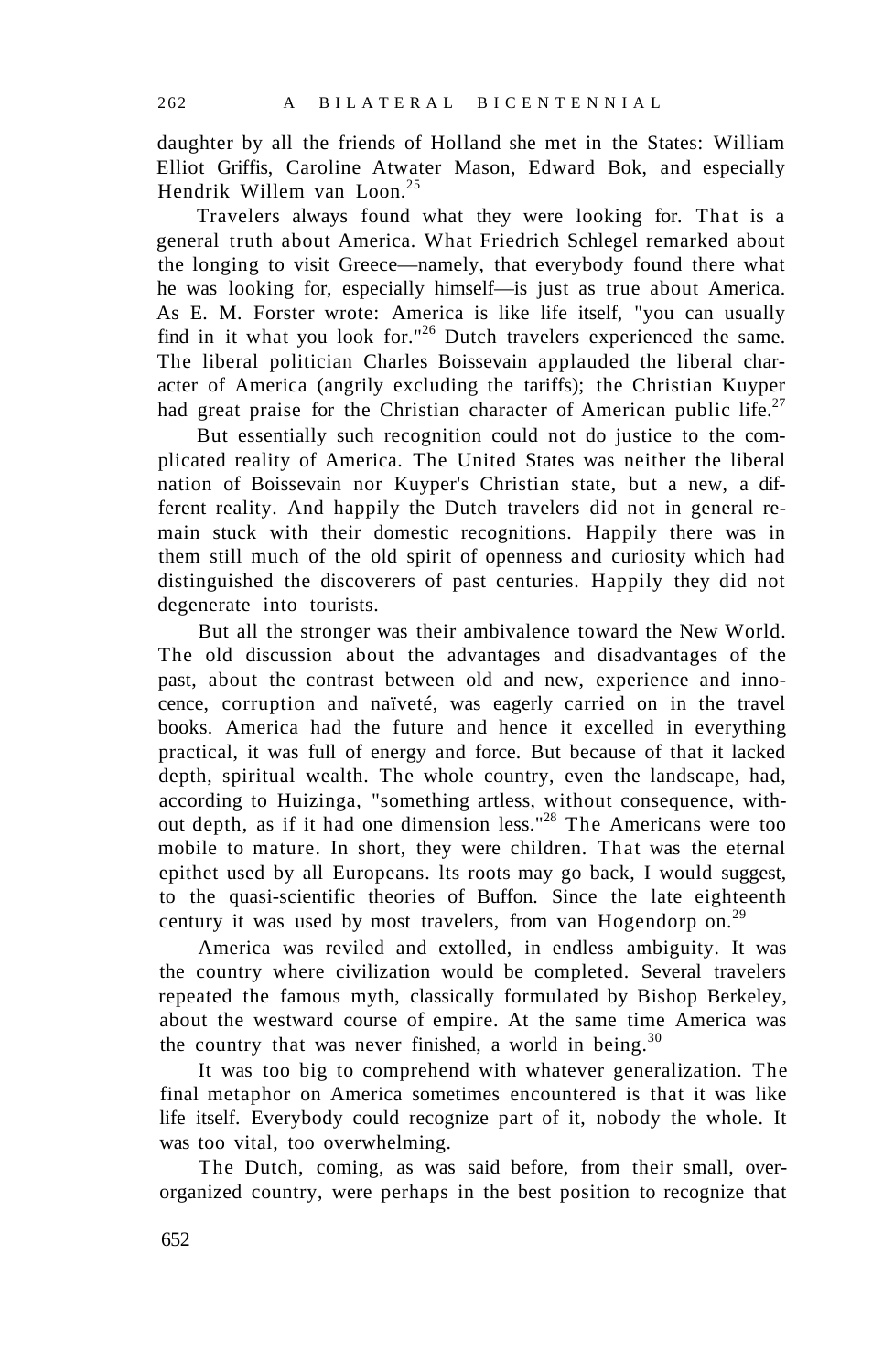daughter by all the friends of Holland she met in the States: William Elliot Griffis, Caroline Atwater Mason, Edward Bok, and especially Hendrik Willem van Loon.<sup>25</sup>

Travelers always found what they were looking for. That is a general truth about America. What Friedrich Schlegel remarked about the longing to visit Greece—namely, that everybody found there what he was looking for, especially himself—is just as true about America. As E. M. Forster wrote: America is like life itself, "you can usually find in it what you look for."<sup>26</sup> Dutch travelers experienced the same. The liberal politician Charles Boissevain applauded the liberal character of America (angrily excluding the tariffs); the Christian Kuyper had great praise for the Christian character of American public life.<sup>27</sup>

But essentially such recognition could not do justice to the complicated reality of America. The United States was neither the liberal nation of Boissevain nor Kuyper's Christian state, but a new, a different reality. And happily the Dutch travelers did not in general remain stuck with their domestic recognitions. Happily there was in them still much of the old spirit of openness and curiosity which had distinguished the discoverers of past centuries. Happily they did not degenerate into tourists.

But all the stronger was their ambivalence toward the New World. The old discussion about the advantages and disadvantages of the past, about the contrast between old and new, experience and innocence, corruption and naïveté, was eagerly carried on in the travel books. America had the future and hence it excelled in everything practical, it was full of energy and force. But because of that it lacked depth, spiritual wealth. The whole country, even the landscape, had, according to Huizinga, "something artless, without consequence, without depth, as if it had one dimension less."<sup>28</sup> The Americans were too mobile to mature. In short, they were children. That was the eternal epithet used by all Europeans. lts roots may go back, I would suggest, to the quasi-scientific theories of Buffon. Since the late eighteenth century it was used by most travelers, from van Hogendorp on.<sup>29</sup>

America was reviled and extolled, in endless ambiguity. It was the country where civilization would be completed. Several travelers repeated the famous myth, classically formulated by Bishop Berkeley, about the westward course of empire. At the same time America was the country that was never finished, a world in being. $30$ 

It was too big to comprehend with whatever generalization. The final metaphor on America sometimes encountered is that it was like life itself. Everybody could recognize part of it, nobody the whole. It was too vital, too overwhelming.

The Dutch, coming, as was said before, from their small, overorganized country, were perhaps in the best position to recognize that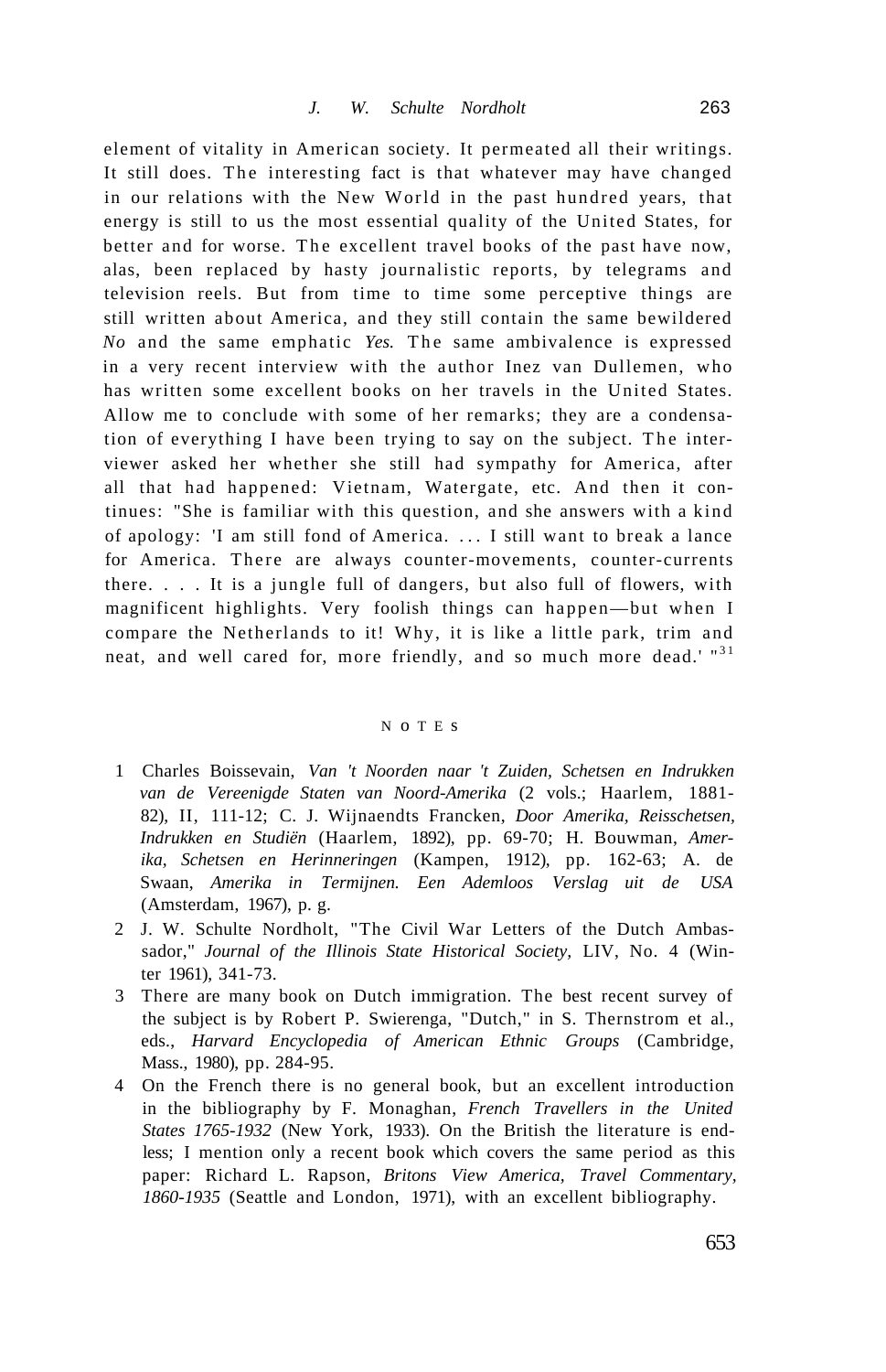element of vitality in American society. It permeated all their writings. It still does. The interesting fact is that whatever may have changed in our relations with the New World in the past hundred years, that energy is still to us the most essential quality of the United States, for better and for worse. The excellent travel books of the past have now, alas, been replaced by hasty journalistic reports, by telegrams and television reels. But from time to time some perceptive things are still written about America, and they still contain the same bewildered *No* and the same emphatic *Yes*. The same ambivalence is expressed in a very recent interview with the author Inez van Dullemen, who has written some excellent books on her travels in the United States. Allow me to conclude with some of her remarks; they are a condensation of everything I have been trying to say on the subject. The interviewer asked her whether she still had sympathy for America, after all that had happened: Vietnam, Watergate, etc. And then it continues: "She is familiar with this question, and she answers with a kind of apology: 'I am still fond of America. .. . I still want to break a lance for America. There are always counter-movements, counter-currents there. . . . It is a jungle full of dangers, but also full of flowers, with magnificent highlights. Very foolish things can happen—but when I compare the Netherlands to it! Why, it is like a little park, trim and neat, and well cared for, more friendly, and so much more dead.' "31

## N o T E s

- 1 Charles Boissevain, *Van 't Noorden naar 't Zuiden, Schetsen en Indrukken van de Vereenigde Staten van Noord-Amerika* (2 vols.; Haarlem, 1881- 82), II, 111-12; C. J. Wijnaendts Francken, *Door Amerika, Reisschetsen, Indrukken en Studiën* (Haarlem, 1892), pp. 69-70; H. Bouwman, *Amerika, Schetsen en Herinneringen* (Kampen, 1912), pp. 162-63; A. de Swaan, *Amerika in Termijnen. Een Ademloos Verslag uit de USA*  (Amsterdam, 1967), p. g.
- 2 J. W. Schulte Nordholt, "The Civil War Letters of the Dutch Ambassador," *Journal of the Illinois State Historical Society,* LIV, No. 4 (Winter 1961), 341-73.
- 3 There are many book on Dutch immigration. The best recent survey of the subject is by Robert P. Swierenga, "Dutch," in S. Thernstrom et al., eds., *Harvard Encyclopedia of American Ethnic Groups* (Cambridge, Mass., 1980), pp. 284-95.
- 4 On the French there is no general book, but an excellent introduction in the bibliography by F. Monaghan, *French Travellers in the United States 1765-1932* (New York, 1933). On the British the literature is endless; I mention only a recent book which covers the same period as this paper: Richard L. Rapson, *Britons View America, Travel Commentary, 1860-1935* (Seattle and London, 1971), with an excellent bibliography.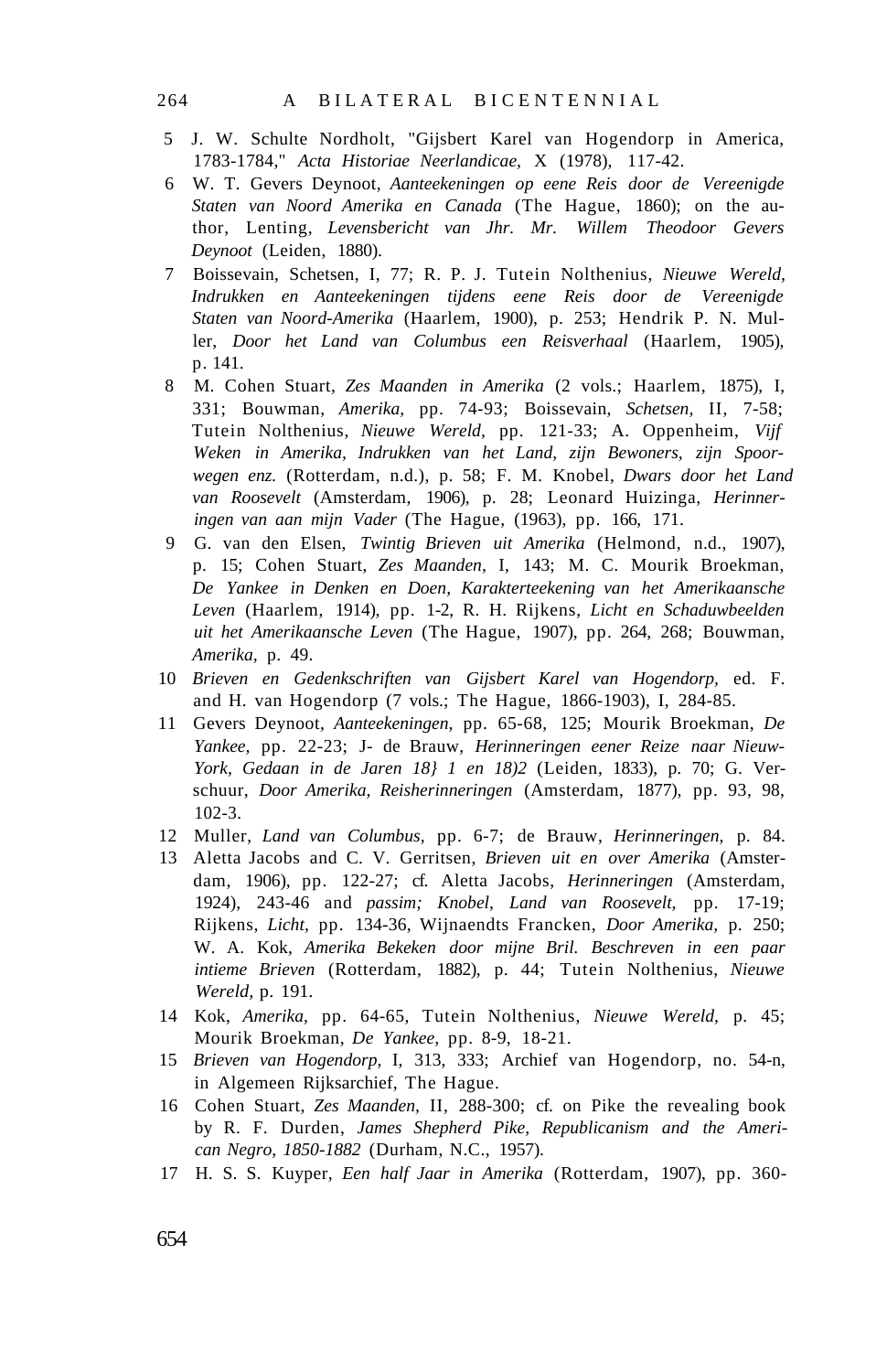- 5 J. W. Schulte Nordholt, "Gijsbert Karel van Hogendorp in America, 1783-1784," *Acta Historiae Neerlandicae,* X (1978), 117-42.
- 6 W. T. Gevers Deynoot, *Aanteekeningen op eene Reis door de Vereenigde Staten van Noord Amerika en Canada* (The Hague, 1860); on the author, Lenting, *Levensbericht van Jhr. Mr. Willem Theodoor Gevers Deynoot* (Leiden, 1880).
- 7 Boissevain, Schetsen, I, 77; R. P. J. Tutein Nolthenius, *Nieuwe Wereld, Indrukken en Aanteekeningen tijdens eene Reis door de Vereenigde Staten van Noord-Amerika* (Haarlem, 1900), p. 253; Hendrik P. N. Muller, *Door het Land van Columbus een Reisverhaal* (Haarlem, 1905), p. 141.
- 8 M. Cohen Stuart, *Zes Maanden in Amerika* (2 vols.; Haarlem, 1875), I, 331; Bouwman, *Amerika,* pp. 74-93; Boissevain, *Schetsen,* II, 7-58; Tutein Nolthenius, *Nieuwe Wereld,* pp. 121-33; A. Oppenheim, *Vijf Weken in Amerika, Indrukken van het Land, zijn Bewoners, zijn Spoorwegen enz.* (Rotterdam, n.d.), p. 58; F. M. Knobel, *Dwars door het Land van Roosevelt* (Amsterdam, 1906), p. 28; Leonard Huizinga, *Herinneringen van aan mijn Vader* (The Hague, (1963), pp. 166, 171.
- 9 G. van den Elsen, *Twintig Brieven uit Amerika* (Helmond, n.d., 1907), p. 15; Cohen Stuart, *Zes Maanden,* I, 143; M. C. Mourik Broekman, *De Yankee in Denken en Doen, Karakterteekening van het Amerikaansche Leven* (Haarlem, 1914), pp. 1-2, R. H. Rijkens, *Licht en Schaduwbeelden uit het Amerikaansche Leven* (The Hague, 1907), pp. 264, 268; Bouwman, *Amerika,* p. 49.
- 10 *Brieven en Gedenkschriften van Gijsbert Karel van Hogendorp,* ed. F. and H. van Hogendorp (7 vols.; The Hague, 1866-1903), I, 284-85.
- 11 Gevers Deynoot, *Aanteekeningen,* pp. 65-68, 125; Mourik Broekman, *De Yankee,* pp. 22-23; J- de Brauw, *Herinneringen eener Reize naar Nieuw-York, Gedaan in de Jaren 18} 1 en 18)2* (Leiden, 1833), p. 70; G. Verschuur, *Door Amerika, Reisherinneringen* (Amsterdam, 1877), pp. 93, 98, 102-3.
- 12 Muller, *Land van Columbus,* pp. 6-7; de Brauw, *Herinneringen,* p. 84.
- 13 Aletta Jacobs and C. V. Gerritsen, *Brieven uit en over Amerika* (Amsterdam, 1906), pp. 122-27; cf. Aletta Jacobs, *Herinneringen* (Amsterdam, 1924), 243-46 and *passim; Knobel, Land van Roosevelt,* pp. 17-19; Rijkens, *Licht,* pp. 134-36, Wijnaendts Francken, *Door Amerika,* p. 250; W. A. Kok, *Amerika Bekeken door mijne Bril. Beschreven in een paar intieme Brieven* (Rotterdam, 1882), p. 44; Tutein Nolthenius, *Nieuwe Wereld,* p. 191.
- 14 Kok, *Amerika,* pp. 64-65, Tutein Nolthenius, *Nieuwe Wereld,* p. 45; Mourik Broekman, *De Yankee,* pp. 8-9, 18-21.
- 15 *Brieven van Hogendorp,* I, 313, 333; Archief van Hogendorp, no. 54-n, in Algemeen Rijksarchief, The Hague.
- 16 Cohen Stuart, *Zes Maanden,* II, 288-300; cf. on Pike the revealing book by R. F. Durden, *James Shepherd Pike, Republicanism and the American Negro, 1850-1882* (Durham, N.C., 1957).
- 17 H. S. S. Kuyper, *Een half Jaar in Amerika* (Rotterdam, 1907), pp. 360-